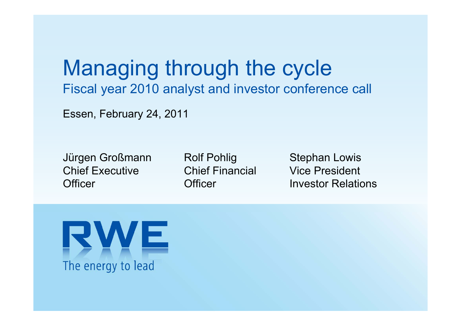Managing through the cycle Fiscal year 2010 analyst and investor conference call

Essen, February 24, 2011

Jürgen Großmann Chief Executive**Officer** 

Rolf Pohlig Chief Financial**Officer** 

Stephan Lowis Vice PresidentInvestor Relations

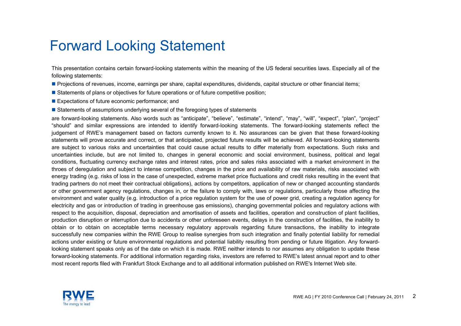### Forward Looking Statement

This presentation contains certain forward-looking statements within the meaning of the US federal securities laws. Especially all of the following statements:

- Projections of revenues, income, earnings per share, capital expenditures, dividends, capital structure or other financial items;
- **Statements of plans or objectives for future operations or of future competitive position**;
- **Expectations of future economic performance; and**
- **Statements of assumptions underlying several of the foregoing types of statements**

are forward-looking statements. Also words such as "anticipate", "believe", "estimate", "intend", "may", "will", "expect", "plan", "project" "should" and similar expressions are intended to identify forward-looking statements. The forward-looking statements reflect the judgement of RWE's management based on factors currently known to it. No assurances can be given that these forward-looking statements will prove accurate and correct, or that anticipated, projected future results will be achieved. All forward-looking statements are subject to various risks and uncertainties that could cause actual results to differ materially from expectations. Such risks and uncertainties include, but are not limited to, changes in general economic and social environment, business, political and legal conditions, fluctuating currency exchange rates and interest rates, price and sales risks associated with a market environment in the throes of deregulation and subject to intense competition, changes in the price and availability of raw materials, risks associated with energy trading (e.g. risks of loss in the case of unexpected, extreme market price fluctuations and credit risks resulting in the event that trading partners do not meet their contractual obligations), actions by competitors, application of new or changed accounting standards or other government agency regulations, changes in, or the failure to comply with, laws or regulations, particularly those affecting the environment and water quality (e.g. introduction of a price regulation system for the use of power grid, creating a regulation agency for electricity and gas or introduction of trading in greenhouse gas emissions), changing governmental policies and regulatory actions with respect to the acquisition, disposal, depreciation and amortisation of assets and facilities, operation and construction of plant facilities, production disruption or interruption due to accidents or other unforeseen events, delays in the construction of facilities, the inability to obtain or to obtain on acceptable terms necessary regulatory approvals regarding future transactions, the inability to integrate successfully new companies within the RWE Group to realise synergies from such integration and finally potential liability for remedial actions under existing or future environmental regulations and potential liability resulting from pending or future litigation. Any forwardlooking statement speaks only as of the date on which it is made. RWE neither intends to nor assumes any obligation to update these forward-looking statements. For additional information regarding risks, investors are referred to RWE's latest annual report and to other most recent reports filed with Frankfurt Stock Exchange and to all additional information published on RWE's Internet Web site.

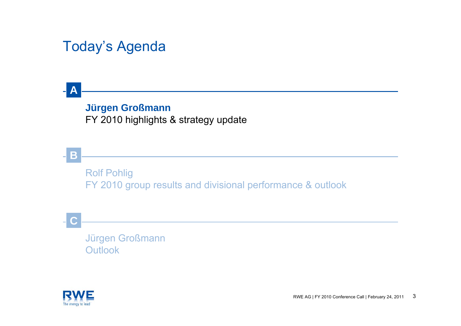## Today's Agenda

### **Jürgen Großmann** FY 2010 highlights & strategy update

Rolf Pohlig FY 2010 group results and divisional performance & outlook

**C**

**A**

**B**

Jürgen Großmann **Outlook** 

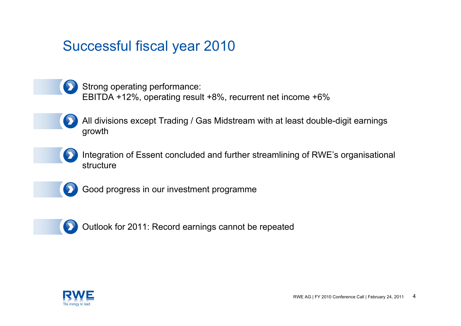### Successful fiscal year 2010

Strong operating performance: EBITDA +12%, operating result +8%, recurrent net income +6%

- All divisions except Trading / Gas Midstream with at least double-digit earnings growth
- Integration of Essent concluded and further streamlining of RWE's organisational structure



Good progress in our investment programme



Outlook for 2011: Record earnings cannot be repeated

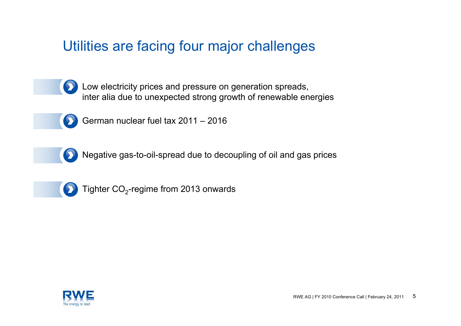## Utilities are facing four major challenges

Low electricity prices and pressure on generation spreads, inter alia due to unexpected strong growth of renewable energies



German nuclear fuel tax 2011 – 2016



Negative gas-to-oil-spread due to decoupling of oil and gas prices



Tighter  $CO<sub>2</sub>$ -regime from 2013 onwards

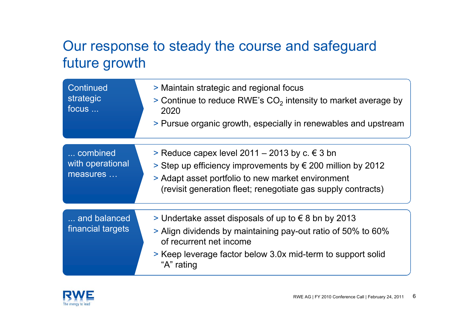## Our response to steady the course and safeguard future growth

| Continued<br>strategic<br>focus          | > Maintain strategic and regional focus<br>$>$ Continue to reduce RWE's CO <sub>2</sub> intensity to market average by<br>2020<br>> Pursue organic growth, especially in renewables and upstream                                        |
|------------------------------------------|-----------------------------------------------------------------------------------------------------------------------------------------------------------------------------------------------------------------------------------------|
| combined<br>with operational<br>measures | > Reduce capex level 2011 – 2013 by c. € 3 bn<br>Step up efficiency improvements by $\epsilon$ 200 million by 2012<br>> Adapt asset portfolio to new market environment<br>(revisit generation fleet; renegotiate gas supply contracts) |
| and balanced<br>financial targets        | > Undertake asset disposals of up to $∈$ 8 bn by 2013<br>> Align dividends by maintaining pay-out ratio of 50% to 60%<br>of recurrent net income<br>> Keep leverage factor below 3.0x mid-term to support solid<br>"A" rating           |

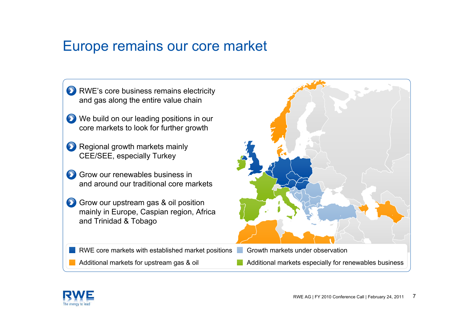### Europe remains our core market

- **D** RWE's core business remains electricity and gas along the entire value chain
- **D** We build on our leading positions in our core markets to look for further growth
- **Regional growth markets mainly** CEE/SEE, especially Turkey
- Grow our renewables business inand around our traditional core markets
- Grow our upstream gas & oil position mainly in Europe, Caspian region, Africa and Trinidad & Tobago

RWE core markets with established market positions Growth markets under observation

Additional markets for upstream gas & oil Additional markets especially for renewables business



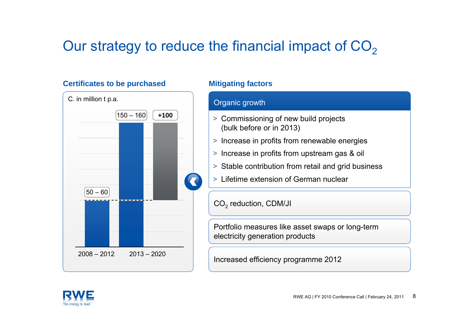# Our strategy to reduce the financial impact of CO<sub>2</sub>

### **Certificates to be purchased Mitigating factors**



### Organic growth

- > Commissioning of new build projects (bulk before or in 2013)
- > Increase in profits from renewable energies
- > Increase in profits from upstream gas & oil
- > Stable contribution from retail and grid business
- > Lifetime extension of German nuclear

CO $_{\rm 2}$  reduction, CDM/JI

Portfolio measures like asset swaps or long-term electricity generation products

Increased efficiency programme 2012

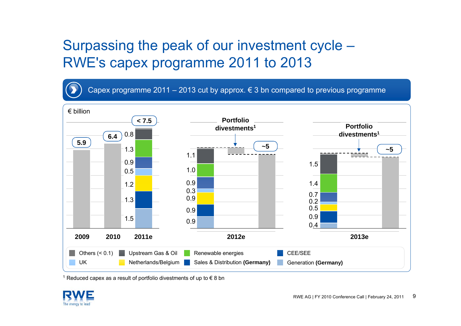## Surpassing the peak of our investment cycle – RWE's capex programme 2011 to 2013

Capex programme 2011 – 2013 cut by approx.  $\epsilon$  3 bn compared to previous programme



<sup>1</sup> Reduced capex as a result of portfolio divestments of up to € 8 bn

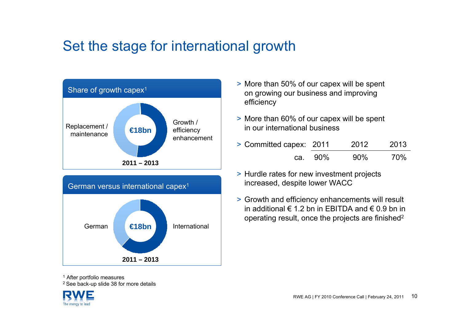## Set the stage for international growth



**2011 – 2013**

- > More than 50% of our capex will be spent on growing our business and improving efficiency
- > More than 60% of our capex will be spent in our international business
- > Committed capex: 2011 2012 2013 ca. 90% 90% 70%
- > Hurdle rates for new investment projects increased, despite lower WACC
- > Growth and efficiency enhancements will result in additional € 1.2 bn in FBITDA and € 0.9 bn in operating result, once the projects are finished2

<sup>1</sup> After portfolio measures

2 See back-up slide 38 for more details

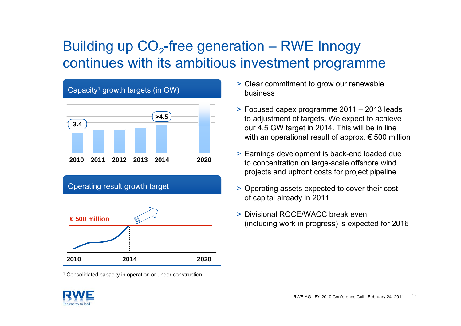# Building up  $CO<sub>2</sub>$ -free generation – RWE Innogy continues with its ambitious investment programme





<sup>1</sup> Consolidated capacity in operation or under construction

- > Clear commitment to grow our renewable business
- > Focused capex programme 2011 2013 leads to adjustment of targets. We expect to achieve our 4.5 GW target in 2014. This will be in line with an operational result of approx. € 500 million
- > Earnings development is back-end loaded due to concentration on large-scale offshore wind projects and upfront costs for project pipeline
- > Operating assets expected to cover their cost of capital already in 2011
- > Divisional ROCE/WACC break even (including work in progress) is expected for 2016

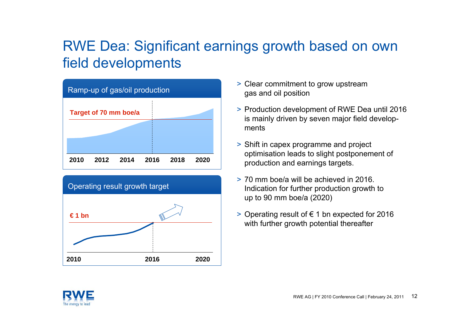## RWE Dea: Significant earnings growth based on own field developments





- > Clear commitment to grow upstream gas and oil position
- > Production development of RWE Dea until 2016 is mainly driven by seven major field developments
- > Shift in capex programme and project optimisation leads to slight postponement of production and earnings targets.
- > 70 mm boe/a will be achieved in 2016. Indication for further production growth to up to 90 mm boe/a (2020)
- > Operating result of € 1 bn expected for 2016 with further growth potential thereafter

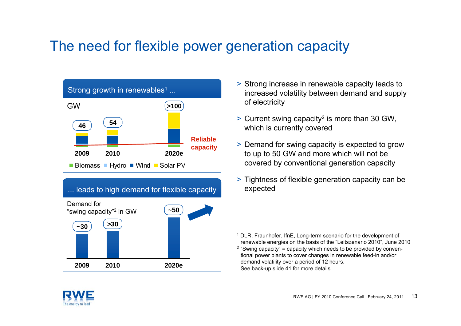## The need for flexible power generation capacity





- > Strong increase in renewable capacity leads to increased volatility between demand and supply of electricity
- > Current swing capacity2 is more than 30 GW, which is currently covered
- > Demand for swing capacity is expected to grow to up to 50 GW and more which will not be covered by conventional generation capacity
- > Tightness of flexible generation capacity can be expected

<sup>1</sup> DLR, Fraunhofer, IfnE, Long-term scenario for the development of renewable energies on the basis of the "Leitszenario 2010", June 2010  $2$  "Swing capacity" = capacity which needs to be provided by conventional power plants to cover changes in renewable feed-in and/or demand volatility over a period of 12 hours. See back-up slide 41 for more details

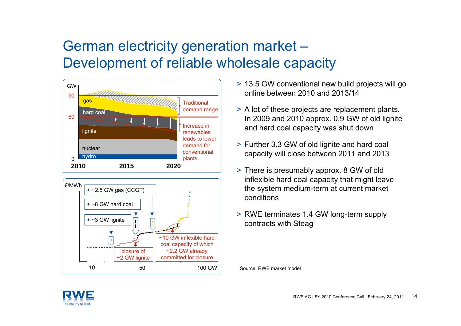## German electricity generation market – Development of reliable wholesale capacity





- > 13.5 GW conventional new build projects will go online between 2010 and 2013/14
- > A lot of these projects are replacement plants. In 2009 and 2010 approx. 0.9 GW of old lignite and hard coal capacity was shut down
- > Further 3.3 GW of old lignite and hard coal capacity will close between 2011 and 2013
- > There is presumably approx. 8 GW of old inflexible hard coal capacity that might leave the system medium-term at current market conditions
- > RWE terminates 1.4 GW long-term supply contracts with Steag

Source: RWE market model

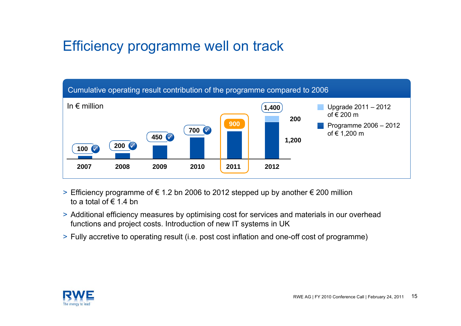## Efficiency programme well on track



- > Efficiency programme of € 1.2 bn 2006 to 2012 stepped up by another € 200 million to a total of  $\epsilon$  1.4 bn
- > Additional efficiency measures by optimising cost for services and materials in our overhead functions and project costs. Introduction of new IT systems in UK
- > Fully accretive to operating result (i.e. post cost inflation and one-off cost of programme)

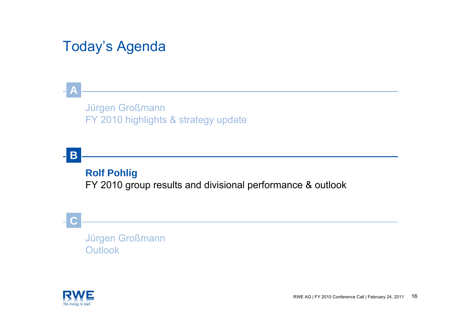## Today's Agenda

### Jürgen Großmann FY 2010 highlights & strategy update

### **B**

**A**

### **Rolf Pohlig**

FY 2010 group results and divisional performance & outlook

### **C**

Jürgen Großmann **Outlook** 

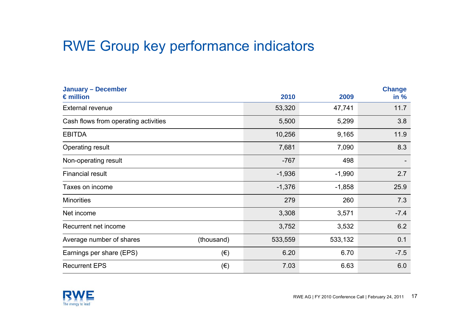## RWE Group key performance indicators

| <b>January - December</b>            |              |          |          | <b>Change</b> |
|--------------------------------------|--------------|----------|----------|---------------|
| $\epsilon$ million                   |              | 2010     | 2009     | in %          |
| <b>External revenue</b>              | 53,320       | 47,741   | 11.7     |               |
| Cash flows from operating activities |              | 5,500    | 5,299    | 3.8           |
| <b>EBITDA</b>                        |              | 10,256   | 9,165    | 11.9          |
| <b>Operating result</b>              |              | 7,681    | 7,090    | 8.3           |
| Non-operating result                 |              | $-767$   | 498      |               |
| <b>Financial result</b>              |              | $-1,936$ | $-1,990$ | 2.7           |
| Taxes on income                      |              | $-1,376$ | $-1,858$ | 25.9          |
| <b>Minorities</b>                    |              | 279      | 260      | 7.3           |
| Net income                           |              | 3,308    | 3,571    | $-7.4$        |
| Recurrent net income                 |              | 3,752    | 3,532    | 6.2           |
| Average number of shares             | (thousand)   | 533,559  | 533,132  | 0.1           |
| Earnings per share (EPS)             | $(\epsilon)$ | 6.20     | 6.70     | $-7.5$        |
| <b>Recurrent EPS</b>                 | $(\epsilon)$ | 7.03     | 6.63     | 6.0           |

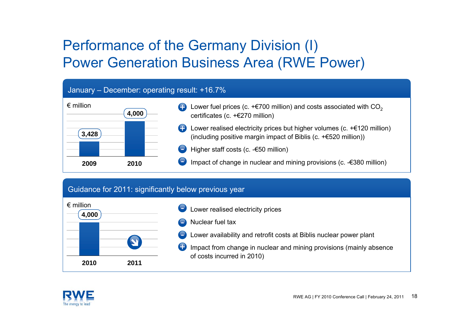## Performance of the Germany Division (I) Power Generation Business Area (RWE Power)

#### January – December: operating result: +16.7%



#### Guidance for 2011: significantly below previous year



- Lower realised electricity prices
- Nuclear fuel tax

+

- Lower availability and retrofit costs at Biblis nuclear power plant
- Impact from change in nuclear and mining provisions (mainly absence of costs incurred in 2010)

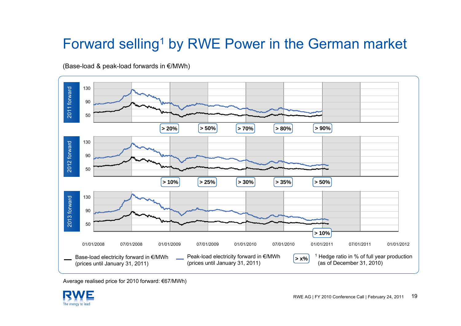# Forward selling<sup>1</sup> by RWE Power in the German market



(Base-load & peak-load forwards in €/MWh)

Average realised price for 2010 forward: €67/MWh)

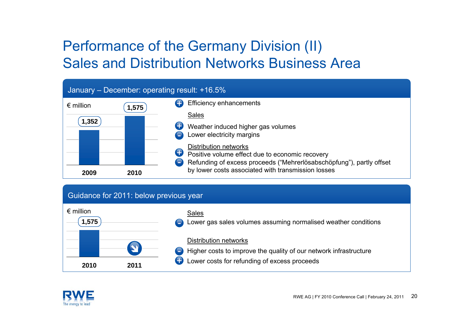## Performance of the Germany Division (II) Sales and Distribution Networks Business Area

### January – December: operating result: +16.5%



#### Guidance for 2011: below previous year



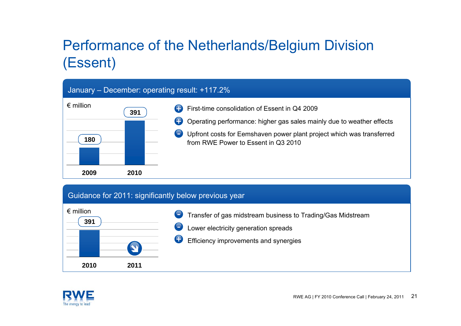# Performance of the Netherlands/Belgium Division (Essent)

### January – December: operating result: +117.2%



#### Guidance for 2011: significantly below previous year



- Transfer of gas midstream business to Trading/Gas Midstream -
- Lower electricity generation spreads
- Efficiency improvements and synergies +

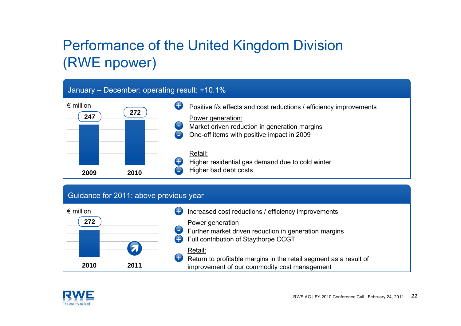# Performance of the United Kingdom Division (RWE npower)

### January – December: operating result: +10.1%



#### Guidance for 2011: above previous year



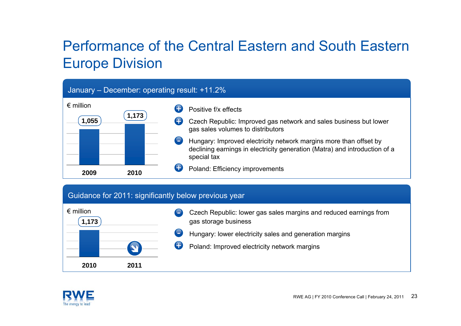## Performance of the Central Eastern and South Eastern Europe Division

#### January – December: operating result: +11.2%

| $\epsilon$ million |       |   | Positive f/x effects                                                                                                                                           |
|--------------------|-------|---|----------------------------------------------------------------------------------------------------------------------------------------------------------------|
| 1,055              | 1,173 | O | Czech Republic: Improved gas network and sales business but lower<br>gas sales volumes to distributors                                                         |
|                    |       |   | Hungary: Improved electricity network margins more than offset by<br>declining earnings in electricity generation (Matra) and introduction of a<br>special tax |
| 2009               | 2010  |   | Poland: Efficiency improvements                                                                                                                                |

### Guidance for 2011: significantly below previous year



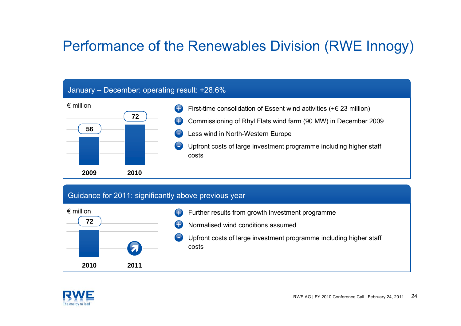## Performance of the Renewables Division (RWE Innogy)

#### January – December: operating result: +28.6%



### Guidance for 2011: significantly above previous year



- Further results from growth investment programme +
- Normalised wind conditions assumed+
- Upfront costs of large investment programme including higher staff costs

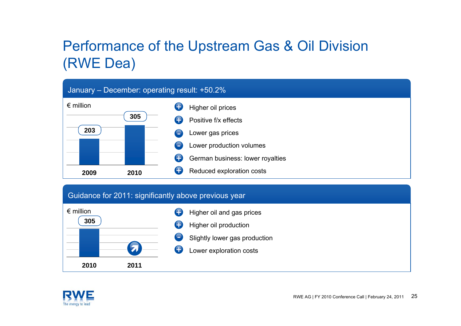## Performance of the Upstream Gas & Oil Division (RWE Dea)

#### January – December: operating result: +50.2%



#### Guidance for 2011: significantly above previous year



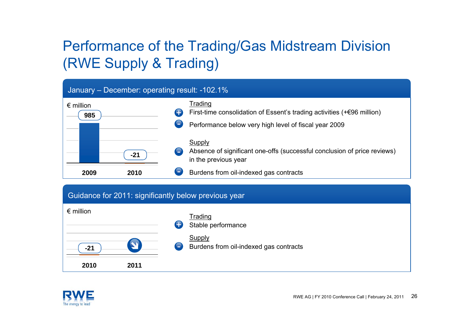# Performance of the Trading/Gas Midstream Division (RWE Supply & Trading)

#### January – December: operating result: -102.1%



#### Guidance for 2011: significantly below previous year



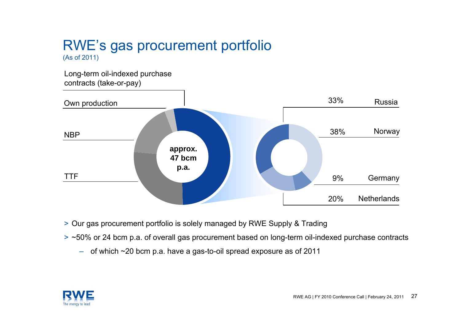# RWE's gas procurement portfolio

(As of 2011)

Long-term oil-indexed purchase contracts (take-or-pay)



- > Our gas procurement portfolio is solely managed by RWE Supply & Trading
- > ~50% or 24 bcm p.a. of overall gas procurement based on long-term oil-indexed purchase contracts
	- of which ~20 bcm p.a. have a gas-to-oil spread exposure as of 2011

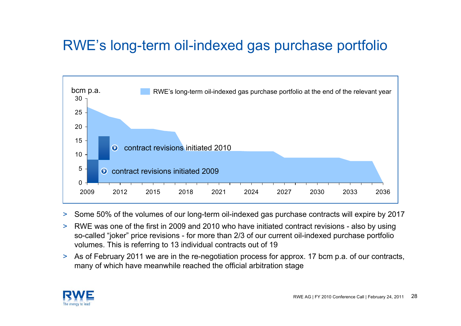## RWE's long-term oil-indexed gas purchase portfolio



- >Some 50% of the volumes of our long-term oil-indexed gas purchase contracts will expire by 2017
- > RWE was one of the first in 2009 and 2010 who have initiated contract revisions - also by using so-called "joker" price revisions - for more than 2/3 of our current oil-indexed purchase portfolio volumes. This is referring to 13 individual contracts out of 19
- > As of February 2011 we are in the re-negotiation process for approx. 17 bcm p.a. of our contracts, many of which have meanwhile reached the official arbitration stage

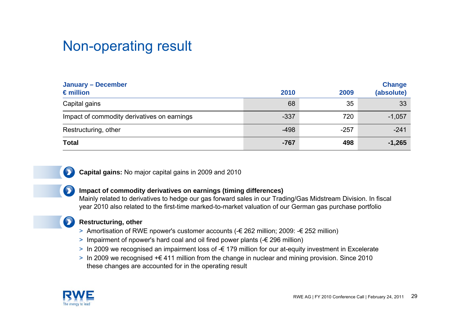### Non-operating result

| <b>January - December</b><br>$\epsilon$ million | 2010   | 2009   | <b>Change</b><br>(absolute) |
|-------------------------------------------------|--------|--------|-----------------------------|
| Capital gains                                   | 68     | 35     | 33                          |
| Impact of commodity derivatives on earnings     | $-337$ | 720    | $-1,057$                    |
| Restructuring, other                            | $-498$ | $-257$ | $-241$                      |
| <b>Total</b>                                    | $-767$ | 498    | $-1,265$                    |



**Capital gains:** No major capital gains in 2009 and 2010

#### **Impact of commodity derivatives on earnings (timing differences)**

Mainly related to derivatives to hedge our gas forward sales in our Trading/Gas Midstream Division. In fiscal year 2010 also related to the first-time marked-to-market valuation of our German gas purchase portfolio

#### **Restructuring, other**

- > Amortisation of RWE npower's customer accounts (-€ 262 million; 2009: -€ 252 million)
- > Impairment of npower's hard coal and oil fired power plants (-€ 296 million)
- > In 2009 we recognised an impairment loss of -€ 179 million for our at-equity investment in Excelerate
- > In 2009 we recognised +€ 411 million from the change in nuclear and mining provision. Since 2010 these changes are accounted for in the operating result

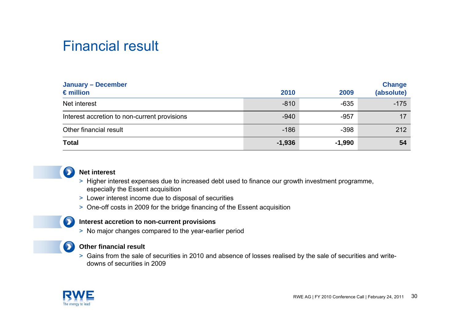### Financial result

| <b>January - December</b><br>$\epsilon$ million | 2010     | 2009     | <b>Change</b><br>(absolute) |
|-------------------------------------------------|----------|----------|-----------------------------|
| Net interest                                    | $-810$   | $-635$   | $-175$                      |
| Interest accretion to non-current provisions    | $-940$   | $-957$   | 17                          |
| Other financial result                          | $-186$   | $-398$   | 212                         |
| <b>Total</b>                                    | $-1,936$ | $-1,990$ | 54                          |



#### **Net interest**

- > Higher interest expenses due to increased debt used to finance our growth investment programme, especially the Essent acquisition
- > Lower interest income due to disposal of securities
- > One-off costs in 2009 for the bridge financing of the Essent acquisition

#### **Interest accretion to non-current provisions**

> No major changes compared to the year-earlier period



 $\bullet$ 

#### **Other financial result**

> Gains from the sale of securities in 2010 and absence of losses realised by the sale of securities and writedowns of securities in 2009

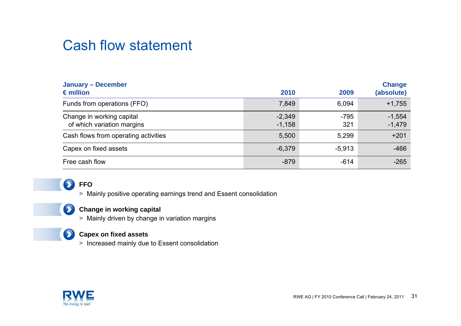## Cash flow statement

| <b>January - December</b><br>$\epsilon$ million         | 2010                 | 2009          | <b>Change</b><br>(absolute) |
|---------------------------------------------------------|----------------------|---------------|-----------------------------|
| Funds from operations (FFO)                             | 7,849                | 6,094         | $+1,755$                    |
| Change in working capital<br>of which variation margins | $-2,349$<br>$-1,158$ | $-795$<br>321 | $-1,554$<br>$-1,479$        |
| Cash flows from operating activities                    | 5,500                | 5,299         | $+201$                      |
| Capex on fixed assets                                   | $-6,379$             | $-5,913$      | $-466$                      |
| Free cash flow                                          | $-879$               | $-614$        | $-265$                      |



#### **FFO**

> Mainly positive operating earnings trend and Essent consolidation



#### **Change in working capital**

> Mainly driven by change in variation margins



#### **Capex on fixed assets**

> Increased mainly due to Essent consolidation

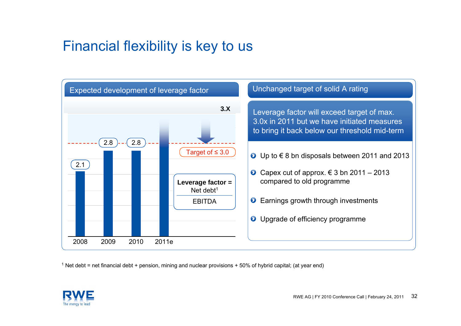## Financial flexibility is key to us



 $1$  Net debt = net financial debt + pension, mining and nuclear provisions + 50% of hybrid capital; (at year end)

![](_page_31_Picture_3.jpeg)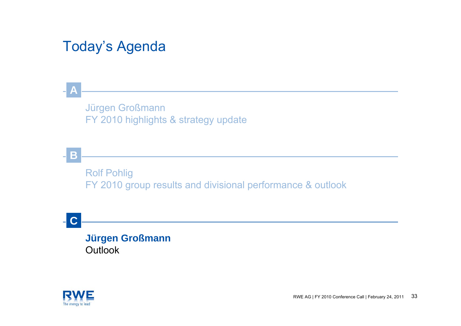## Today's Agenda

### Jürgen Großmann FY 2010 highlights & strategy update

**B**

**A**

Rolf Pohlig FY 2010 group results and divisional performance & outlook

**C**

### **Jürgen Großmann Outlook**

![](_page_32_Picture_6.jpeg)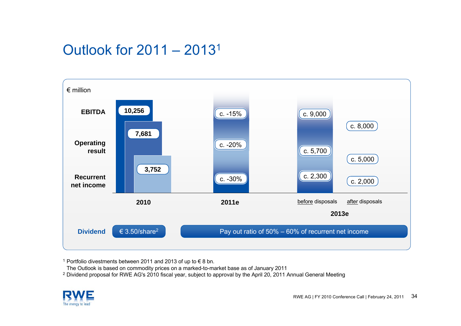## Outlook for 2011 – 20131

![](_page_33_Figure_1.jpeg)

<sup>1</sup> Portfolio divestments between 2011 and 2013 of up to € 8 bn.

The Outlook is based on commodity prices on a marked-to-market base as of January 2011

 $^2$  Dividend proposal for RWE AG's 2010 fiscal year, subject to approval by the April 20, 2011 Annual General Meeting

![](_page_33_Picture_5.jpeg)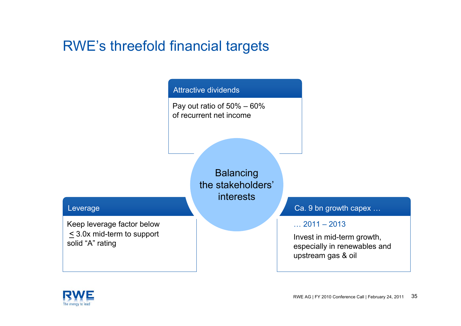### RWE's threefold financial targets

### Attractive dividends

Pay out ratio of 50% – 60% of recurrent net income

> **Balancing** the stakeholders'interests

#### Leverage

Keep leverage factor below < 3.0x mid-term to support solid "A" rating

Ca. 9 bn growth capex …

#### $\ldots$  2011 – 2013

Invest in mid-term growth, especially in renewables and upstream gas & oil

![](_page_34_Picture_9.jpeg)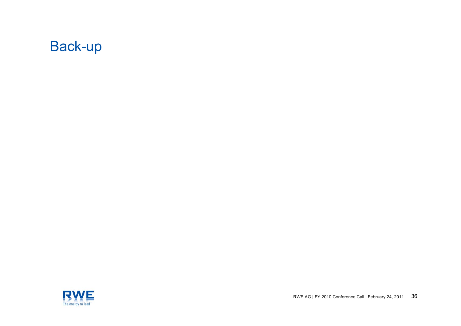![](_page_35_Picture_0.jpeg)

![](_page_35_Picture_1.jpeg)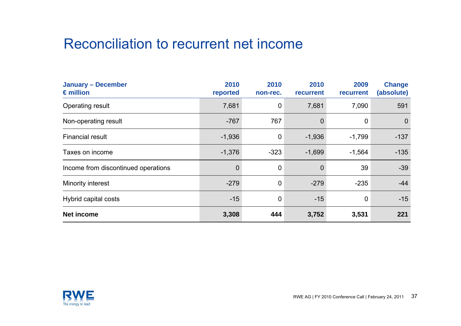### Reconciliation to recurrent net income

| <b>January - December</b><br>$\epsilon$ million | 2010<br>reported | 2010<br>non-rec. | 2010<br>recurrent | 2009<br>recurrent | <b>Change</b><br>(absolute) |
|-------------------------------------------------|------------------|------------------|-------------------|-------------------|-----------------------------|
| Operating result                                | 7,681            | $\mathbf 0$      | 7,681             | 7,090             | 591                         |
| Non-operating result                            | $-767$           | 767              | $\overline{0}$    | 0                 | $\overline{0}$              |
| <b>Financial result</b>                         | $-1,936$         | $\mathbf 0$      | $-1,936$          | $-1,799$          | $-137$                      |
| Taxes on income                                 | $-1,376$         | $-323$           | $-1,699$          | $-1,564$          | $-135$                      |
| Income from discontinued operations             | $\overline{0}$   | $\overline{0}$   | $\overline{0}$    | 39                | $-39$                       |
| Minority interest                               | $-279$           | $\mathbf 0$      | $-279$            | $-235$            | $-44$                       |
| Hybrid capital costs                            | $-15$            | $\overline{0}$   | $-15$             | $\mathbf 0$       | $-15$                       |
| <b>Net income</b>                               | 3,308            | 444              | 3,752             | 3,531             | 221                         |

![](_page_36_Picture_2.jpeg)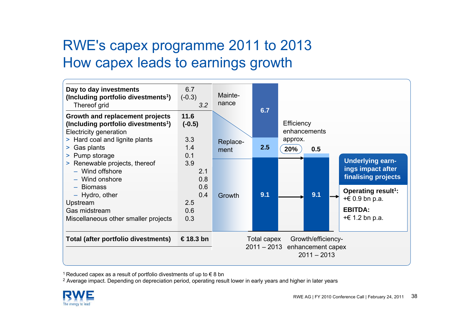## RWE's capex programme 2011 to 2013 How capex leads to earnings growth

![](_page_37_Figure_1.jpeg)

<sup>1</sup> Reduced capex as a result of portfolio divestments of up to € 8 bn

 $^2$  Average impact. Depending on depreciation period, operating result lower in early years and higher in later years

![](_page_37_Picture_4.jpeg)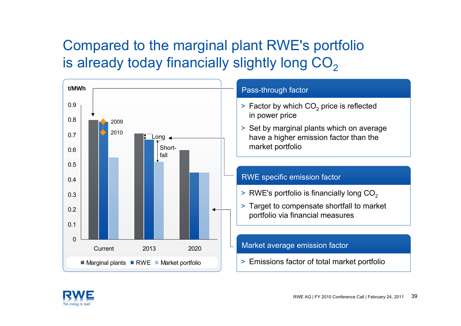# Compared to the marginal plant RWE's portfolio is already today financially slightly long  $CO<sub>2</sub>$

![](_page_38_Figure_1.jpeg)

![](_page_38_Picture_2.jpeg)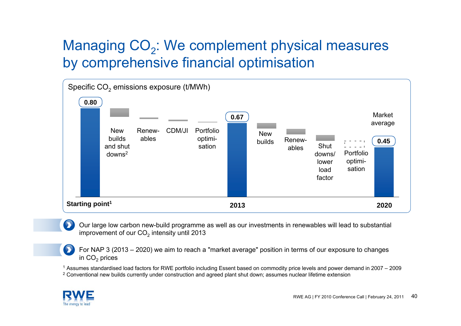## Managing CO<sub>2</sub>: We complement physical measures by comprehensive financial optimisation

![](_page_39_Figure_1.jpeg)

Our large low carbon new-build programme as well as our investments in renewables will lead to substantial improvement of our CO $_{\rm 2}$  intensity until 2013

For NAP 3 (2013 – 2020) we aim to reach a "market average" position in terms of our exposure to changes in CO $_{\rm 2}$  prices

1 Assumes standardised load factors for RWE portfolio including Essent based on commodity price levels and power demand in 2007 – 2009

 $^{\rm 2}$  Conventional new builds currently under construction and agreed plant shut down; assumes nuclear lifetime extension

![](_page_39_Picture_6.jpeg)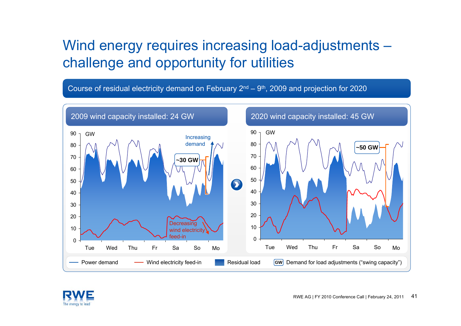## Wind energy requires increasing load-adjustments – challenge and opportunity for utilities

Course of residual electricity demand on February  $2^{nd} - 9^{th}$ , 2009 and projection for 2020

![](_page_40_Figure_2.jpeg)

![](_page_40_Picture_3.jpeg)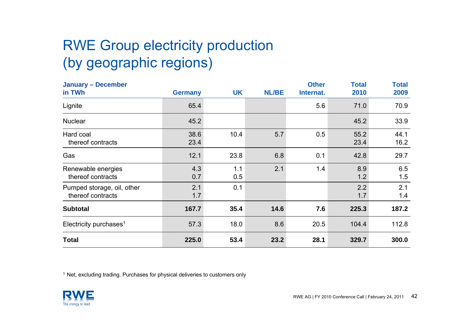# RWE Group electricity production (by geographic regions)

| <b>January - December</b><br>in TWh             | <b>Germany</b> | <b>UK</b>  | <b>NL/BE</b> | <b>Other</b><br>Internat. | <b>Total</b><br>2010 | <b>Total</b><br>2009 |
|-------------------------------------------------|----------------|------------|--------------|---------------------------|----------------------|----------------------|
| Lignite                                         | 65.4           |            |              | 5.6                       | 71.0                 | 70.9                 |
| <b>Nuclear</b>                                  | 45.2           |            |              |                           | 45.2                 | 33.9                 |
| Hard coal<br>thereof contracts                  | 38.6<br>23.4   | 10.4       | 5.7          | 0.5                       | 55.2<br>23.4         | 44.1<br>16.2         |
| Gas                                             | 12.1           | 23.8       | 6.8          | 0.1                       | 42.8                 | 29.7                 |
| Renewable energies<br>thereof contracts         | 4.3<br>0.7     | 1.1<br>0.5 | 2.1          | 1.4                       | 8.9<br>1.2           | 6.5<br>1.5           |
| Pumped storage, oil, other<br>thereof contracts | 2.1<br>1.7     | 0.1        |              |                           | 2.2<br>1.7           | 2.1<br>1.4           |
| <b>Subtotal</b>                                 | 167.7          | 35.4       | 14.6         | 7.6                       | 225.3                | 187.2                |
| Electricity purchases <sup>1</sup>              | 57.3           | 18.0       | 8.6          | 20.5                      | 104.4                | 112.8                |
| <b>Total</b>                                    | 225.0          | 53.4       | 23.2         | 28.1                      | 329.7                | 300.0                |

 $1$  Net, excluding trading. Purchases for physical deliveries to customers only

![](_page_41_Picture_3.jpeg)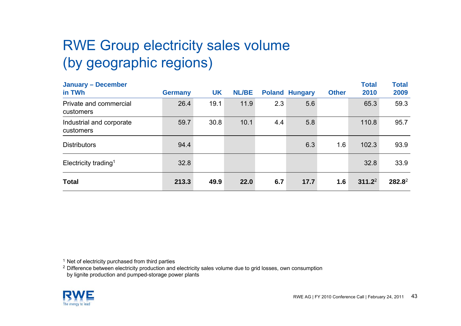# RWE Group electricity sales volume (by geographic regions)

| <b>January - December</b><br>in TWh   | <b>Germany</b> | <b>UK</b> | <b>NL/BE</b> |     | <b>Poland Hungary</b> | <b>Other</b> | <b>Total</b><br>2010 | <b>Total</b><br>2009 |
|---------------------------------------|----------------|-----------|--------------|-----|-----------------------|--------------|----------------------|----------------------|
| Private and commercial<br>customers   | 26.4           | 19.1      | 11.9         | 2.3 | 5.6                   |              | 65.3                 | 59.3                 |
| Industrial and corporate<br>customers | 59.7           | 30.8      | 10.1         | 4.4 | 5.8                   |              | 110.8                | 95.7                 |
| <b>Distributors</b>                   | 94.4           |           |              |     | 6.3                   | 1.6          | 102.3                | 93.9                 |
| Electricity trading <sup>1</sup>      | 32.8           |           |              |     |                       |              | 32.8                 | 33.9                 |
| <b>Total</b>                          | 213.3          | 49.9      | 22.0         | 6.7 | 17.7                  | 1.6          | $311.2^2$            | 282.82               |

<sup>1</sup> Net of electricity purchased from third parties

 $^2$  Difference between electricity production and electricity sales volume due to grid losses, own consumption by lignite production and pumped-storage power plants

![](_page_42_Picture_4.jpeg)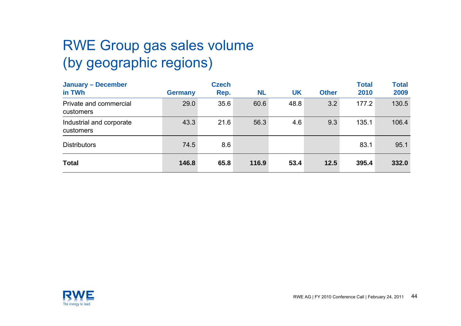# RWE Group gas sales volume (by geographic regions)

| <b>January - December</b><br>in TWh   | <b>Germany</b> | <b>Czech</b><br>Rep. | <b>NL</b> | <b>UK</b> | <b>Other</b> | <b>Total</b><br>2010 | <b>Total</b><br>2009 |
|---------------------------------------|----------------|----------------------|-----------|-----------|--------------|----------------------|----------------------|
| Private and commercial<br>customers   | 29.0           | 35.6                 | 60.6      | 48.8      | 3.2          | 177.2                | 130.5                |
| Industrial and corporate<br>customers | 43.3           | 21.6                 | 56.3      | 4.6       | 9.3          | 135.1                | 106.4                |
| <b>Distributors</b>                   | 74.5           | 8.6                  |           |           |              | 83.1                 | 95.1                 |
| <b>Total</b>                          | 146.8          | 65.8                 | 116.9     | 53.4      | 12.5         | 395.4                | 332.0                |

![](_page_43_Picture_2.jpeg)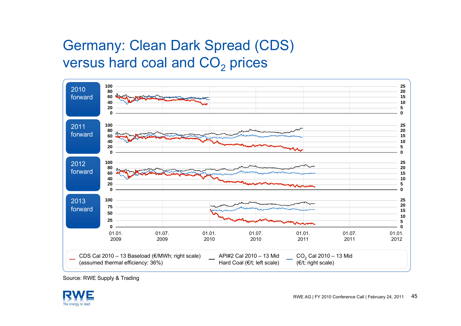# Germany: Clean Dark Spread (CDS) versus hard coal and  $\mathsf{CO}_2$  prices

![](_page_44_Figure_1.jpeg)

![](_page_44_Picture_3.jpeg)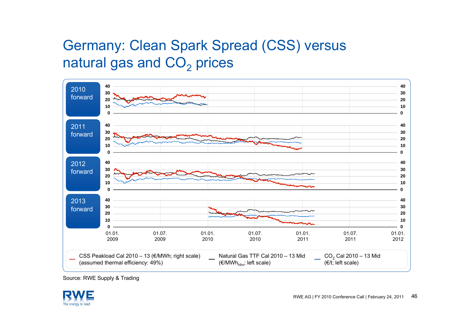# Germany: Clean Spark Spread (CSS) versus natural gas and  $\mathsf{CO}_2$  prices

![](_page_45_Figure_1.jpeg)

![](_page_45_Picture_3.jpeg)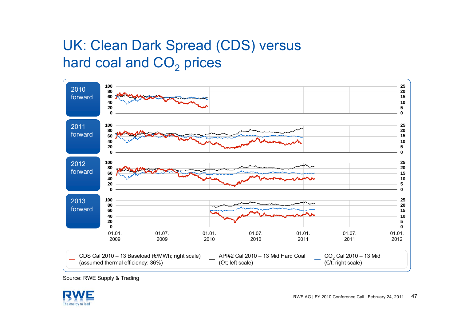# UK: Clean Dark Spread (CDS) versus hard coal and  $\mathsf{CO}_2$  prices

![](_page_46_Figure_1.jpeg)

![](_page_46_Picture_3.jpeg)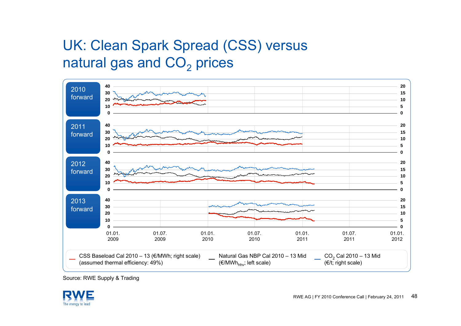# UK: Clean Spark Spread (CSS) versus natural gas and  $\mathsf{CO}_2$  prices

![](_page_47_Figure_1.jpeg)

![](_page_47_Picture_3.jpeg)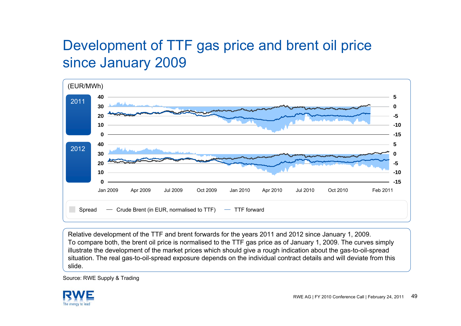## Development of TTF gas price and brent oil price since January 2009

![](_page_48_Figure_1.jpeg)

Relative development of the TTF and brent forwards for the years 2011 and 2012 since January 1, 2009. To compare both, the brent oil price is normalised to the TTF gas price as of January 1, 2009. The curves simply illustrate the development of the market prices which should give a rough indication about the gas-to-oil-spread situation. The real gas-to-oil-spread exposure depends on the individual contract details and will deviate from this slide.

![](_page_48_Picture_4.jpeg)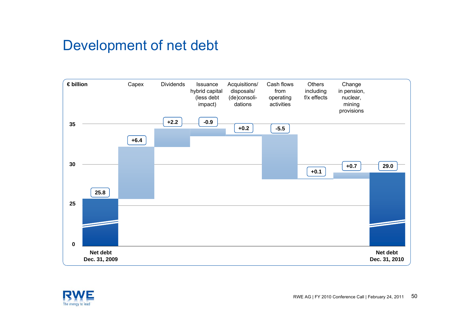### Development of net debt

![](_page_49_Figure_1.jpeg)

![](_page_49_Picture_2.jpeg)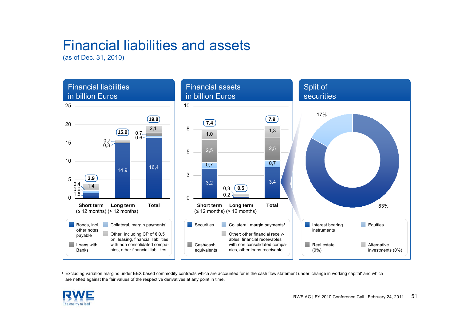## Financial liabilities and assets

(as of Dec. 31, 2010)

![](_page_50_Figure_2.jpeg)

1 Excluding variation margins under EEX based commodity contracts which are accounted for in the cash flow statement under 'change in working capital' and which are netted against the fair values of the respective derivatives at any point in time.

![](_page_50_Picture_4.jpeg)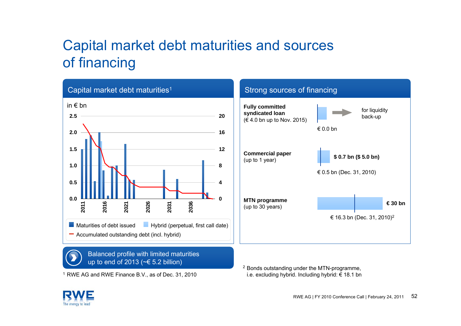# Capital market debt maturities and sources of financing

![](_page_51_Figure_1.jpeg)

![](_page_51_Picture_2.jpeg)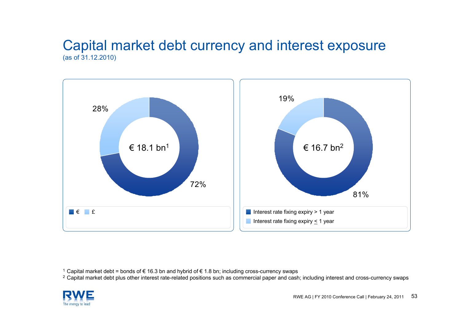### Capital market debt currency and interest exposure (as of 31.12.2010)

![](_page_52_Figure_1.jpeg)

<sup>2</sup> Capital market debt plus other interest rate-related positions such as commercial paper and cash; including interest and cross-currency swaps

![](_page_52_Picture_4.jpeg)

 $^1$  Capital market debt = bonds of € 16.3 bn and hybrid of € 1.8 bn; including cross-currency swaps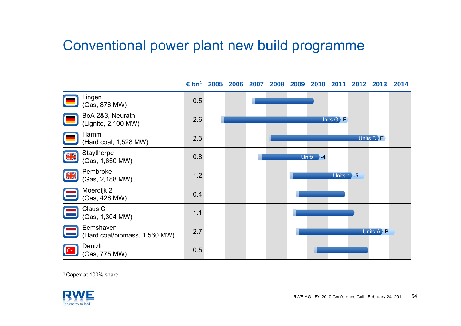### Conventional power plant new build programme

**€ bn<sup>1</sup> 2005 2006 2007 2008 2009 2010 2011 2012 2013 2014** Lingen Enigen 0.5<br>(Gas, 876 MW) 0.5 BoA 2&3, Neurath (Lignite, 2,100 MW) 2.6 Units G F Hamm (Hard coal, 1,528 MW) 2.3 Units D E **Staythorpe**  $\frac{N}{2R}$  $(Gas, 1,650 MW)$  0.8 Units 1**>** 4 Pembroke  $rac{\mathbf{N}}{\mathbf{N}}$ rembroke 1.2<br>(Gas, 2,188 MW) 1.2 Units 1 -5 Moerdijk 2  $(Gas, 426 MW)$  0.4 Claus C Claus C<br>(Gas, 1,304 MW) 1.1 Eemshaven(Hard coal/biomass, 1,560 MW) 2.7 Units A **B** Denizli  $C^*$ USING 0.5<br>(Gas, 775 MW) 0.5

1 Capex at 100% share

![](_page_53_Picture_3.jpeg)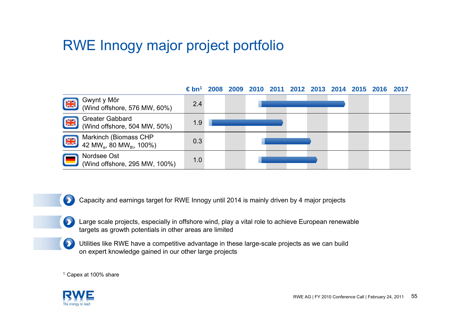## RWE Innogy major project portfolio

![](_page_54_Figure_1.jpeg)

Capacity and earnings target for RWE Innogy until 2014 is mainly driven by 4 major projects

- Large scale projects, especially in offshore wind, play a vital role to achieve European renewable targets as growth potentials in other areas are limited
- Utilities like RWE have a competitive advantage in these large-scale projects as we can build on expert knowledge gained in our other large projects

1 Capex at 100% share

![](_page_54_Picture_6.jpeg)

 $\bullet$